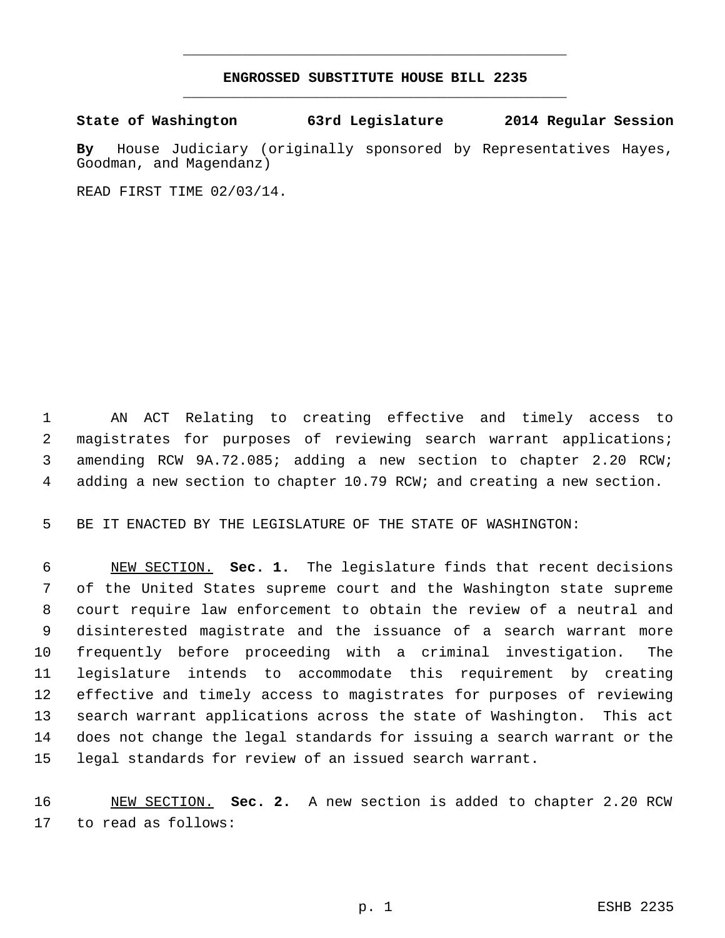## **ENGROSSED SUBSTITUTE HOUSE BILL 2235** \_\_\_\_\_\_\_\_\_\_\_\_\_\_\_\_\_\_\_\_\_\_\_\_\_\_\_\_\_\_\_\_\_\_\_\_\_\_\_\_\_\_\_\_\_

\_\_\_\_\_\_\_\_\_\_\_\_\_\_\_\_\_\_\_\_\_\_\_\_\_\_\_\_\_\_\_\_\_\_\_\_\_\_\_\_\_\_\_\_\_

## **State of Washington 63rd Legislature 2014 Regular Session**

**By** House Judiciary (originally sponsored by Representatives Hayes, Goodman, and Magendanz)

READ FIRST TIME 02/03/14.

 AN ACT Relating to creating effective and timely access to magistrates for purposes of reviewing search warrant applications; amending RCW 9A.72.085; adding a new section to chapter 2.20 RCW; adding a new section to chapter 10.79 RCW; and creating a new section.

BE IT ENACTED BY THE LEGISLATURE OF THE STATE OF WASHINGTON:

 NEW SECTION. **Sec. 1.** The legislature finds that recent decisions of the United States supreme court and the Washington state supreme court require law enforcement to obtain the review of a neutral and disinterested magistrate and the issuance of a search warrant more frequently before proceeding with a criminal investigation. The legislature intends to accommodate this requirement by creating effective and timely access to magistrates for purposes of reviewing search warrant applications across the state of Washington. This act does not change the legal standards for issuing a search warrant or the legal standards for review of an issued search warrant.

 NEW SECTION. **Sec. 2.** A new section is added to chapter 2.20 RCW to read as follows: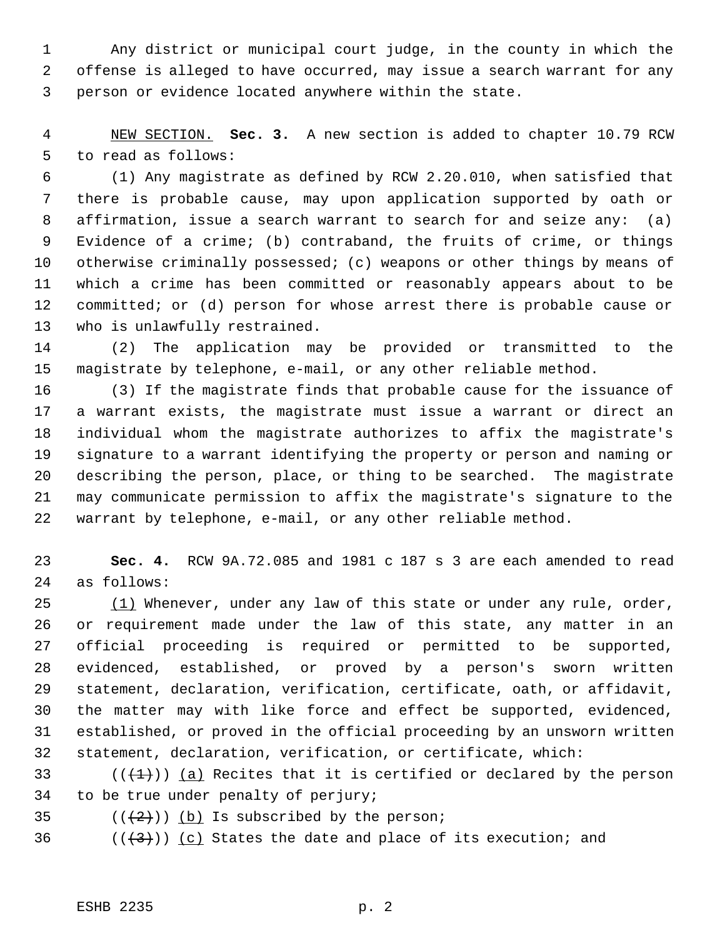Any district or municipal court judge, in the county in which the offense is alleged to have occurred, may issue a search warrant for any person or evidence located anywhere within the state.

 NEW SECTION. **Sec. 3.** A new section is added to chapter 10.79 RCW to read as follows:

 (1) Any magistrate as defined by RCW 2.20.010, when satisfied that there is probable cause, may upon application supported by oath or affirmation, issue a search warrant to search for and seize any: (a) Evidence of a crime; (b) contraband, the fruits of crime, or things otherwise criminally possessed; (c) weapons or other things by means of which a crime has been committed or reasonably appears about to be committed; or (d) person for whose arrest there is probable cause or who is unlawfully restrained.

 (2) The application may be provided or transmitted to the magistrate by telephone, e-mail, or any other reliable method.

 (3) If the magistrate finds that probable cause for the issuance of a warrant exists, the magistrate must issue a warrant or direct an individual whom the magistrate authorizes to affix the magistrate's signature to a warrant identifying the property or person and naming or describing the person, place, or thing to be searched. The magistrate may communicate permission to affix the magistrate's signature to the warrant by telephone, e-mail, or any other reliable method.

 **Sec. 4.** RCW 9A.72.085 and 1981 c 187 s 3 are each amended to read as follows:

 $(1)$  Whenever, under any law of this state or under any rule, order, or requirement made under the law of this state, any matter in an official proceeding is required or permitted to be supported, evidenced, established, or proved by a person's sworn written statement, declaration, verification, certificate, oath, or affidavit, the matter may with like force and effect be supported, evidenced, established, or proved in the official proceeding by an unsworn written statement, declaration, verification, or certificate, which:

33 ( $(\overline{+1})$ ) (a) Recites that it is certified or declared by the person to be true under penalty of perjury;

35  $((+2))$  (b) Is subscribed by the person;

36  $((\langle 3 \rangle)(c)$  States the date and place of its execution; and